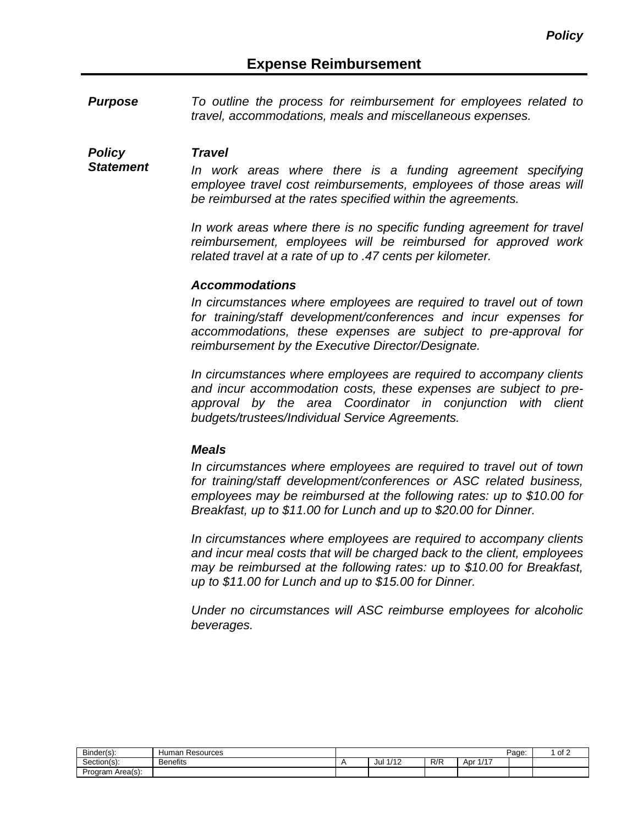*Purpose To outline the process for reimbursement for employees related to travel, accommodations, meals and miscellaneous expenses.*

#### *Policy Statement Travel* In work areas where there is a funding agreement specifying *employee travel cost reimbursements, employees of those areas will be reimbursed at the rates specified within the agreements.*

*In work areas where there is no specific funding agreement for travel reimbursement, employees will be reimbursed for approved work related travel at a rate of up to .47 cents per kilometer.*

## *Accommodations*

*In circumstances where employees are required to travel out of town for training/staff development/conferences and incur expenses for accommodations, these expenses are subject to pre-approval for reimbursement by the Executive Director/Designate.*

*In circumstances where employees are required to accompany clients and incur accommodation costs, these expenses are subject to preapproval by the area Coordinator in conjunction with client budgets/trustees/Individual Service Agreements.*

## *Meals*

*In circumstances where employees are required to travel out of town for training/staff development/conferences or ASC related business, employees may be reimbursed at the following rates: up to \$10.00 for Breakfast, up to \$11.00 for Lunch and up to \$20.00 for Dinner.* 

*In circumstances where employees are required to accompany clients and incur meal costs that will be charged back to the client, employees may be reimbursed at the following rates: up to \$10.00 for Breakfast, up to \$11.00 for Lunch and up to \$15.00 for Dinner.* 

*Under no circumstances will ASC reimburse employees for alcoholic beverages.* 

| Binder(s):            | Resources<br>Human<br>Þ |            |     |                                | Page: | ot |
|-----------------------|-------------------------|------------|-----|--------------------------------|-------|----|
| Section(s):           | <b>Benefits</b>         | 1/1<br>Jul | R/R | $\Lambda$ n <sup>-</sup><br>u. |       |    |
| ı Area(s):<br>Program |                         |            |     |                                |       |    |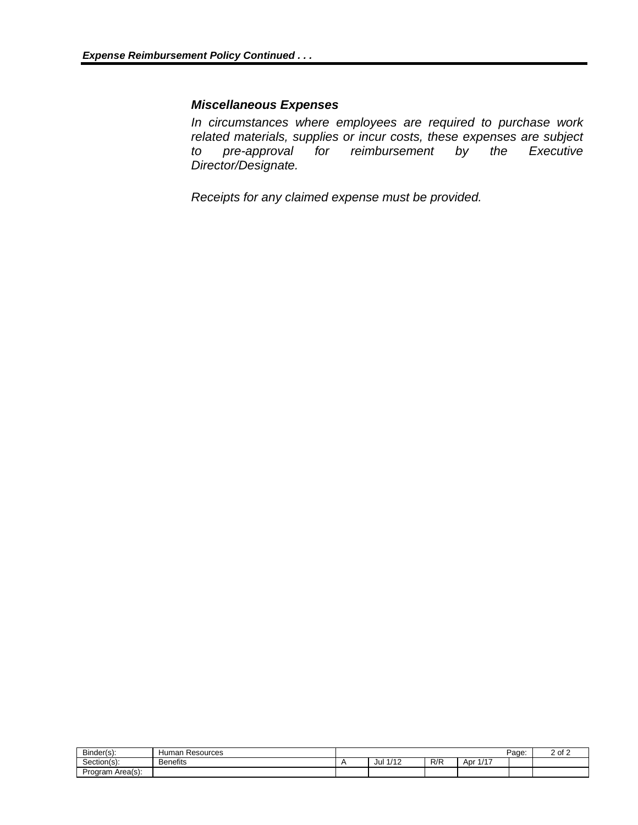# *Miscellaneous Expenses*

*In circumstances where employees are required to purchase work related materials, supplies or incur costs, these expenses are subject to* pre-approval for reimbursement by the *Director/Designate.* 

*Receipts for any claimed expense must be provided.*

| Binder(s):          | Human<br>Resources |                       |     |                            | Page: | ∠ of ^ |
|---------------------|--------------------|-----------------------|-----|----------------------------|-------|--------|
| Section(s):         | <b>Benefits</b>    | 4140<br>Jul<br>17 I 4 | R/R | $\sqrt{4}$<br>Apr<br>,,,,, |       |        |
| Area(s):<br>Program |                    |                       |     |                            |       |        |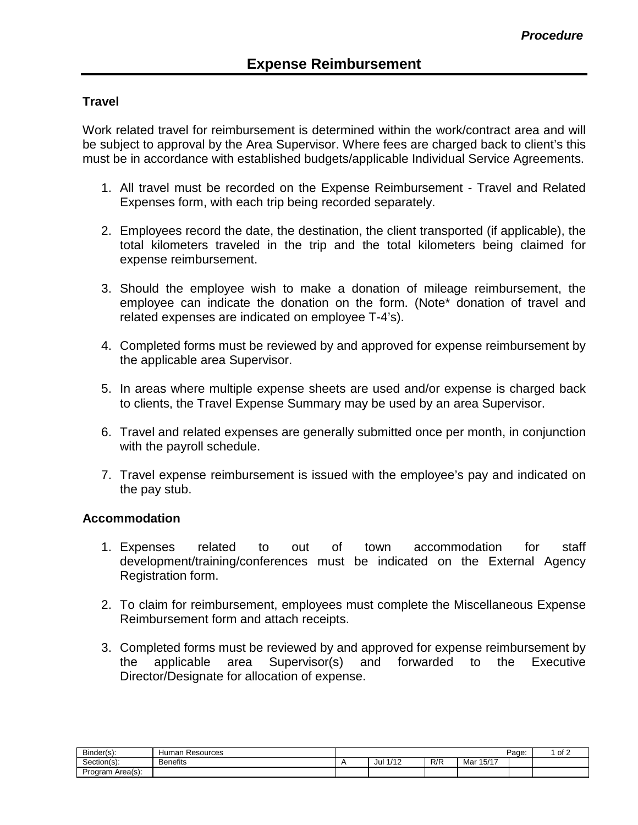## **Travel**

Work related travel for reimbursement is determined within the work/contract area and will be subject to approval by the Area Supervisor. Where fees are charged back to client's this must be in accordance with established budgets/applicable Individual Service Agreements.

- 1. All travel must be recorded on the Expense Reimbursement Travel and Related Expenses form, with each trip being recorded separately.
- 2. Employees record the date, the destination, the client transported (if applicable), the total kilometers traveled in the trip and the total kilometers being claimed for expense reimbursement.
- 3. Should the employee wish to make a donation of mileage reimbursement, the employee can indicate the donation on the form. (Note\* donation of travel and related expenses are indicated on employee T-4's).
- 4. Completed forms must be reviewed by and approved for expense reimbursement by the applicable area Supervisor.
- 5. In areas where multiple expense sheets are used and/or expense is charged back to clients, the Travel Expense Summary may be used by an area Supervisor.
- 6. Travel and related expenses are generally submitted once per month, in conjunction with the payroll schedule.
- 7. Travel expense reimbursement is issued with the employee's pay and indicated on the pay stub.

## **Accommodation**

- 1. Expenses related to out of town accommodation for staff development/training/conferences must be indicated on the External Agency Registration form.
- 2. To claim for reimbursement, employees must complete the Miscellaneous Expense Reimbursement form and attach receipts.
- 3. Completed forms must be reviewed by and approved for expense reimbursement by the applicable area Supervisor(s) and forwarded to the Executive Director/Designate for allocation of expense.

| Binder(s):            | Resources<br>Human |             |     |                         | Page. | . ot |
|-----------------------|--------------------|-------------|-----|-------------------------|-------|------|
| $\sim$<br>Section(s): | <b>Benefits</b>    | 1/12<br>Jul | R/R | 10.15/17<br>Mai<br>וט ו |       |      |
| Program Area(s):      |                    |             |     |                         |       |      |